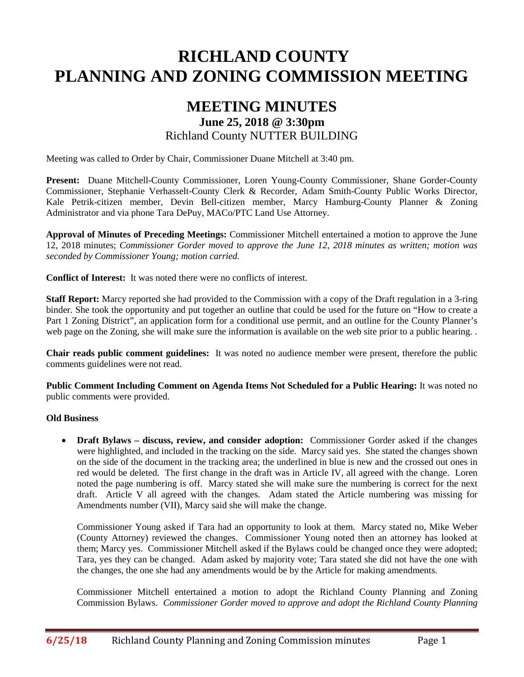# **RICHLAND COUNTY PLANNING AND ZONING COMMISSION MEETING**

# **MEETING MINUTES June 25, 2018 @ 3:30pm** Richland County NUTTER BUILDING

Meeting was called to Order by Chair, Commissioner Duane Mitchell at 3:40 pm.

**Present:** Duane Mitchell-County Commissioner, Loren Young-County Commissioner, Shane Gorder-County Commissioner, Stephanie Verhasselt-County Clerk & Recorder, Adam Smith-County Public Works Director, Kale Petrik-citizen member, Devin Bell-citizen member, Marcy Hamburg-County Planner & Zoning Administrator and via phone Tara DePuy, MACo/PTC Land Use Attorney.

**Approval of Minutes of Preceding Meetings:** Commissioner Mitchell entertained a motion to approve the June 12, 2018 minutes; *Commissioner Gorder moved to approve the June 12, 2018 minutes as written; motion was seconded by Commissioner Young; motion carried.*

**Conflict of Interest:** It was noted there were no conflicts of interest.

**Staff Report:** Marcy reported she had provided to the Commission with a copy of the Draft regulation in a 3-ring binder. She took the opportunity and put together an outline that could be used for the future on "How to create a Part 1 Zoning District", an application form for a conditional use permit, and an outline for the County Planner's web page on the Zoning, she will make sure the information is available on the web site prior to a public hearing.

**Chair reads public comment guidelines:** It was noted no audience member were present, therefore the public comments guidelines were not read.

**Public Comment Including Comment on Agenda Items Not Scheduled for a Public Hearing:** It was noted no public comments were provided.

#### **Old Business**

• **Draft Bylaws – discuss, review, and consider adoption:** Commissioner Gorder asked if the changes were highlighted, and included in the tracking on the side. Marcy said yes. She stated the changes shown on the side of the document in the tracking area; the underlined in blue is new and the crossed out ones in red would be deleted. The first change in the draft was in Article IV, all agreed with the change. Loren noted the page numbering is off. Marcy stated she will make sure the numbering is correct for the next draft. Article V all agreed with the changes. Adam stated the Article numbering was missing for Amendments number (VII), Marcy said she will make the change.

Commissioner Young asked if Tara had an opportunity to look at them. Marcy stated no, Mike Weber (County Attorney) reviewed the changes. Commissioner Young noted then an attorney has looked at them; Marcy yes. Commissioner Mitchell asked if the Bylaws could be changed once they were adopted; Tara, yes they can be changed. Adam asked by majority vote; Tara stated she did not have the one with the changes, the one she had any amendments would be by the Article for making amendments.

Commissioner Mitchell entertained a motion to adopt the Richland County Planning and Zoning Commission Bylaws. *Commissioner Gorder moved to approve and adopt the Richland County Planning*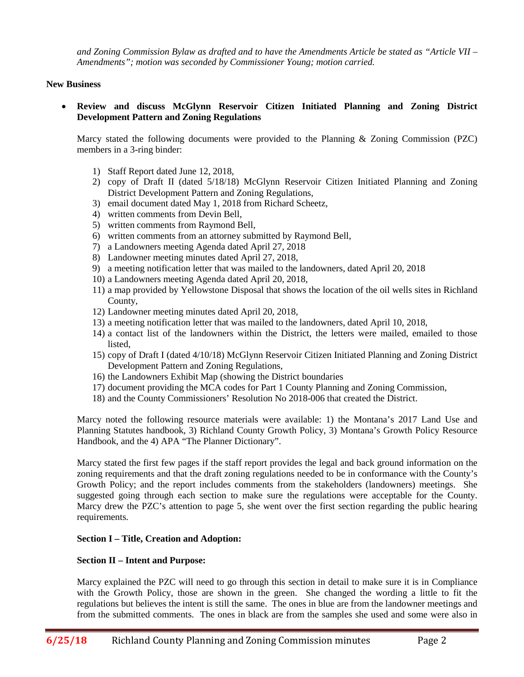*and Zoning Commission Bylaw as drafted and to have the Amendments Article be stated as "Article VII – Amendments"; motion was seconded by Commissioner Young; motion carried.*

#### **New Business**

• **Review and discuss McGlynn Reservoir Citizen Initiated Planning and Zoning District Development Pattern and Zoning Regulations**

Marcy stated the following documents were provided to the Planning & Zoning Commission (PZC) members in a 3-ring binder:

- 1) Staff Report dated June 12, 2018,
- 2) copy of Draft II (dated 5/18/18) McGlynn Reservoir Citizen Initiated Planning and Zoning District Development Pattern and Zoning Regulations,
- 3) email document dated May 1, 2018 from Richard Scheetz,
- 4) written comments from Devin Bell,
- 5) written comments from Raymond Bell,
- 6) written comments from an attorney submitted by Raymond Bell,
- 7) a Landowners meeting Agenda dated April 27, 2018
- 8) Landowner meeting minutes dated April 27, 2018,
- 9) a meeting notification letter that was mailed to the landowners, dated April 20, 2018
- 10) a Landowners meeting Agenda dated April 20, 2018,
- 11) a map provided by Yellowstone Disposal that shows the location of the oil wells sites in Richland County,
- 12) Landowner meeting minutes dated April 20, 2018,
- 13) a meeting notification letter that was mailed to the landowners, dated April 10, 2018,
- 14) a contact list of the landowners within the District, the letters were mailed, emailed to those listed,
- 15) copy of Draft I (dated 4/10/18) McGlynn Reservoir Citizen Initiated Planning and Zoning District Development Pattern and Zoning Regulations,
- 16) the Landowners Exhibit Map (showing the District boundaries
- 17) document providing the MCA codes for Part 1 County Planning and Zoning Commission,
- 18) and the County Commissioners' Resolution No 2018-006 that created the District.

Marcy noted the following resource materials were available: 1) the Montana's 2017 Land Use and Planning Statutes handbook, 3) Richland County Growth Policy, 3) Montana's Growth Policy Resource Handbook, and the 4) APA "The Planner Dictionary".

Marcy stated the first few pages if the staff report provides the legal and back ground information on the zoning requirements and that the draft zoning regulations needed to be in conformance with the County's Growth Policy; and the report includes comments from the stakeholders (landowners) meetings. She suggested going through each section to make sure the regulations were acceptable for the County. Marcy drew the PZC's attention to page 5, she went over the first section regarding the public hearing requirements.

#### **Section I – Title, Creation and Adoption:**

#### **Section II – Intent and Purpose:**

Marcy explained the PZC will need to go through this section in detail to make sure it is in Compliance with the Growth Policy, those are shown in the green. She changed the wording a little to fit the regulations but believes the intent is still the same. The ones in blue are from the landowner meetings and from the submitted comments. The ones in black are from the samples she used and some were also in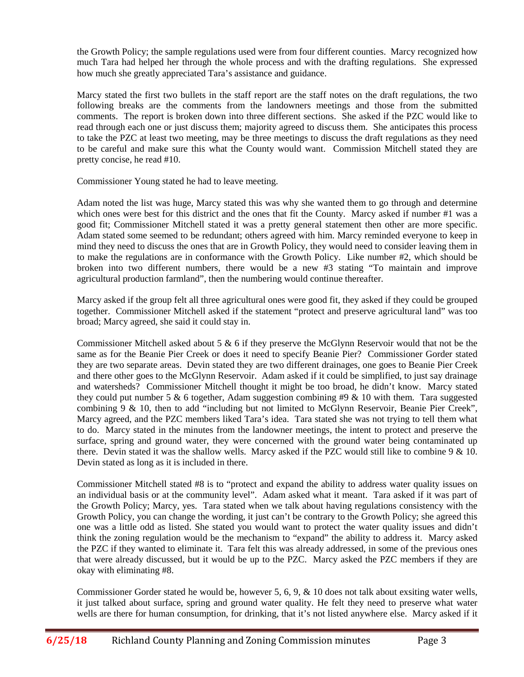the Growth Policy; the sample regulations used were from four different counties. Marcy recognized how much Tara had helped her through the whole process and with the drafting regulations. She expressed how much she greatly appreciated Tara's assistance and guidance.

Marcy stated the first two bullets in the staff report are the staff notes on the draft regulations, the two following breaks are the comments from the landowners meetings and those from the submitted comments. The report is broken down into three different sections. She asked if the PZC would like to read through each one or just discuss them; majority agreed to discuss them. She anticipates this process to take the PZC at least two meeting, may be three meetings to discuss the draft regulations as they need to be careful and make sure this what the County would want. Commission Mitchell stated they are pretty concise, he read #10.

Commissioner Young stated he had to leave meeting.

Adam noted the list was huge, Marcy stated this was why she wanted them to go through and determine which ones were best for this district and the ones that fit the County. Marcy asked if number #1 was a good fit; Commissioner Mitchell stated it was a pretty general statement then other are more specific. Adam stated some seemed to be redundant; others agreed with him. Marcy reminded everyone to keep in mind they need to discuss the ones that are in Growth Policy, they would need to consider leaving them in to make the regulations are in conformance with the Growth Policy. Like number #2, which should be broken into two different numbers, there would be a new #3 stating "To maintain and improve agricultural production farmland", then the numbering would continue thereafter.

Marcy asked if the group felt all three agricultural ones were good fit, they asked if they could be grouped together. Commissioner Mitchell asked if the statement "protect and preserve agricultural land" was too broad; Marcy agreed, she said it could stay in.

Commissioner Mitchell asked about 5  $\&$  6 if they preserve the McGlynn Reservoir would that not be the same as for the Beanie Pier Creek or does it need to specify Beanie Pier? Commissioner Gorder stated they are two separate areas. Devin stated they are two different drainages, one goes to Beanie Pier Creek and there other goes to the McGlynn Reservoir. Adam asked if it could be simplified, to just say drainage and watersheds? Commissioner Mitchell thought it might be too broad, he didn't know. Marcy stated they could put number 5  $\&$  6 together, Adam suggestion combining #9  $\&$  10 with them. Tara suggested combining  $9 \& 10$ , then to add "including but not limited to McGlynn Reservoir, Beanie Pier Creek", Marcy agreed, and the PZC members liked Tara's idea. Tara stated she was not trying to tell them what to do. Marcy stated in the minutes from the landowner meetings, the intent to protect and preserve the surface, spring and ground water, they were concerned with the ground water being contaminated up there. Devin stated it was the shallow wells. Marcy asked if the PZC would still like to combine 9 & 10. Devin stated as long as it is included in there.

Commissioner Mitchell stated #8 is to "protect and expand the ability to address water quality issues on an individual basis or at the community level". Adam asked what it meant. Tara asked if it was part of the Growth Policy; Marcy, yes. Tara stated when we talk about having regulations consistency with the Growth Policy, you can change the wording, it just can't be contrary to the Growth Policy; she agreed this one was a little odd as listed. She stated you would want to protect the water quality issues and didn't think the zoning regulation would be the mechanism to "expand" the ability to address it. Marcy asked the PZC if they wanted to eliminate it. Tara felt this was already addressed, in some of the previous ones that were already discussed, but it would be up to the PZC. Marcy asked the PZC members if they are okay with eliminating #8.

Commissioner Gorder stated he would be, however 5, 6, 9, & 10 does not talk about exsiting water wells, it just talked about surface, spring and ground water quality. He felt they need to preserve what water wells are there for human consumption, for drinking, that it's not listed anywhere else. Marcy asked if it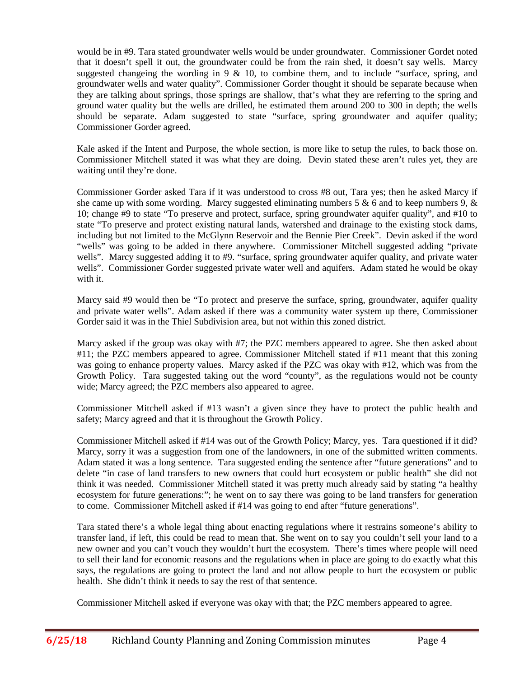would be in #9. Tara stated groundwater wells would be under groundwater. Commissioner Gordet noted that it doesn't spell it out, the groundwater could be from the rain shed, it doesn't say wells. Marcy suggested changeing the wording in  $9 \& 10$ , to combine them, and to include "surface, spring, and groundwater wells and water quality". Commissioner Gorder thought it should be separate because when they are talking about springs, those springs are shallow, that's what they are referring to the spring and ground water quality but the wells are drilled, he estimated them around 200 to 300 in depth; the wells should be separate. Adam suggested to state "surface, spring groundwater and aquifer quality; Commissioner Gorder agreed.

Kale asked if the Intent and Purpose, the whole section, is more like to setup the rules, to back those on. Commissioner Mitchell stated it was what they are doing. Devin stated these aren't rules yet, they are waiting until they're done.

Commissioner Gorder asked Tara if it was understood to cross #8 out, Tara yes; then he asked Marcy if she came up with some wording. Marcy suggested eliminating numbers 5 & 6 and to keep numbers 9,  $\&$ 10; change #9 to state "To preserve and protect, surface, spring groundwater aquifer quality", and #10 to state "To preserve and protect existing natural lands, watershed and drainage to the existing stock dams, including but not limited to the McGlynn Reservoir and the Bennie Pier Creek". Devin asked if the word "wells" was going to be added in there anywhere. Commissioner Mitchell suggested adding "private wells". Marcy suggested adding it to #9. "surface, spring groundwater aquifer quality, and private water wells". Commissioner Gorder suggested private water well and aquifers. Adam stated he would be okay with it.

Marcy said #9 would then be "To protect and preserve the surface, spring, groundwater, aquifer quality and private water wells". Adam asked if there was a community water system up there, Commissioner Gorder said it was in the Thiel Subdivision area, but not within this zoned district.

Marcy asked if the group was okay with #7; the PZC members appeared to agree. She then asked about #11; the PZC members appeared to agree. Commissioner Mitchell stated if #11 meant that this zoning was going to enhance property values. Marcy asked if the PZC was okay with #12, which was from the Growth Policy. Tara suggested taking out the word "county", as the regulations would not be county wide; Marcy agreed; the PZC members also appeared to agree.

Commissioner Mitchell asked if #13 wasn't a given since they have to protect the public health and safety; Marcy agreed and that it is throughout the Growth Policy.

Commissioner Mitchell asked if #14 was out of the Growth Policy; Marcy, yes. Tara questioned if it did? Marcy, sorry it was a suggestion from one of the landowners, in one of the submitted written comments. Adam stated it was a long sentence. Tara suggested ending the sentence after "future generations" and to delete "in case of land transfers to new owners that could hurt ecosystem or public health" she did not think it was needed. Commissioner Mitchell stated it was pretty much already said by stating "a healthy ecosystem for future generations:"; he went on to say there was going to be land transfers for generation to come. Commissioner Mitchell asked if #14 was going to end after "future generations".

Tara stated there's a whole legal thing about enacting regulations where it restrains someone's ability to transfer land, if left, this could be read to mean that. She went on to say you couldn't sell your land to a new owner and you can't vouch they wouldn't hurt the ecosystem. There's times where people will need to sell their land for economic reasons and the regulations when in place are going to do exactly what this says, the regulations are going to protect the land and not allow people to hurt the ecosystem or public health. She didn't think it needs to say the rest of that sentence.

Commissioner Mitchell asked if everyone was okay with that; the PZC members appeared to agree.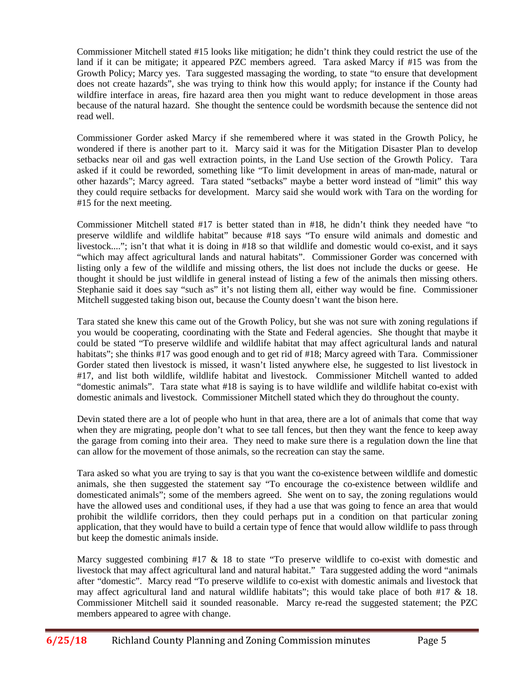Commissioner Mitchell stated #15 looks like mitigation; he didn't think they could restrict the use of the land if it can be mitigate; it appeared PZC members agreed. Tara asked Marcy if #15 was from the Growth Policy; Marcy yes. Tara suggested massaging the wording, to state "to ensure that development does not create hazards", she was trying to think how this would apply; for instance if the County had wildfire interface in areas, fire hazard area then you might want to reduce development in those areas because of the natural hazard. She thought the sentence could be wordsmith because the sentence did not read well.

Commissioner Gorder asked Marcy if she remembered where it was stated in the Growth Policy, he wondered if there is another part to it. Marcy said it was for the Mitigation Disaster Plan to develop setbacks near oil and gas well extraction points, in the Land Use section of the Growth Policy. Tara asked if it could be reworded, something like "To limit development in areas of man-made, natural or other hazards"; Marcy agreed. Tara stated "setbacks" maybe a better word instead of "limit" this way they could require setbacks for development. Marcy said she would work with Tara on the wording for #15 for the next meeting.

Commissioner Mitchell stated #17 is better stated than in #18, he didn't think they needed have "to preserve wildlife and wildlife habitat" because #18 says "To ensure wild animals and domestic and livestock...."; isn't that what it is doing in #18 so that wildlife and domestic would co-exist, and it says "which may affect agricultural lands and natural habitats". Commissioner Gorder was concerned with listing only a few of the wildlife and missing others, the list does not include the ducks or geese. He thought it should be just wildlife in general instead of listing a few of the animals then missing others. Stephanie said it does say "such as" it's not listing them all, either way would be fine. Commissioner Mitchell suggested taking bison out, because the County doesn't want the bison here.

Tara stated she knew this came out of the Growth Policy, but she was not sure with zoning regulations if you would be cooperating, coordinating with the State and Federal agencies. She thought that maybe it could be stated "To preserve wildlife and wildlife habitat that may affect agricultural lands and natural habitats"; she thinks #17 was good enough and to get rid of #18; Marcy agreed with Tara. Commissioner Gorder stated then livestock is missed, it wasn't listed anywhere else, he suggested to list livestock in #17, and list both wildlife, wildlife habitat and livestock. Commissioner Mitchell wanted to added "domestic animals". Tara state what #18 is saying is to have wildlife and wildlife habitat co-exist with domestic animals and livestock. Commissioner Mitchell stated which they do throughout the county.

Devin stated there are a lot of people who hunt in that area, there are a lot of animals that come that way when they are migrating, people don't what to see tall fences, but then they want the fence to keep away the garage from coming into their area. They need to make sure there is a regulation down the line that can allow for the movement of those animals, so the recreation can stay the same.

Tara asked so what you are trying to say is that you want the co-existence between wildlife and domestic animals, she then suggested the statement say "To encourage the co-existence between wildlife and domesticated animals"; some of the members agreed. She went on to say, the zoning regulations would have the allowed uses and conditional uses, if they had a use that was going to fence an area that would prohibit the wildlife corridors, then they could perhaps put in a condition on that particular zoning application, that they would have to build a certain type of fence that would allow wildlife to pass through but keep the domestic animals inside.

Marcy suggested combining #17 & 18 to state "To preserve wildlife to co-exist with domestic and livestock that may affect agricultural land and natural habitat." Tara suggested adding the word "animals after "domestic". Marcy read "To preserve wildlife to co-exist with domestic animals and livestock that may affect agricultural land and natural wildlife habitats"; this would take place of both #17 & 18. Commissioner Mitchell said it sounded reasonable. Marcy re-read the suggested statement; the PZC members appeared to agree with change.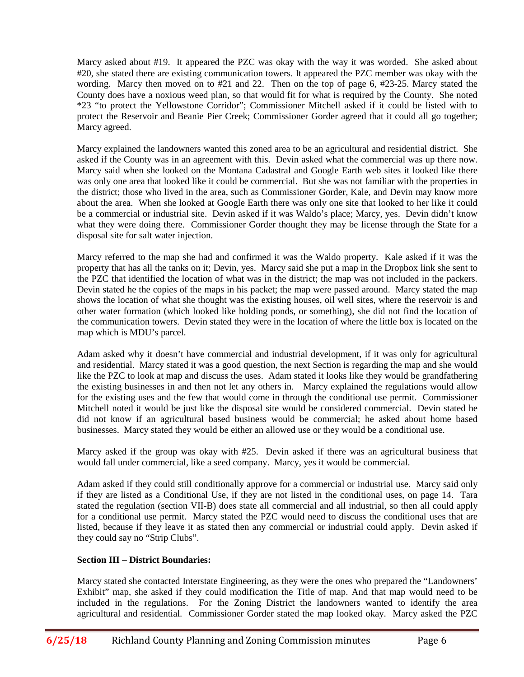Marcy asked about #19. It appeared the PZC was okay with the way it was worded. She asked about #20, she stated there are existing communication towers. It appeared the PZC member was okay with the wording. Marcy then moved on to #21 and 22. Then on the top of page 6, #23-25. Marcy stated the County does have a noxious weed plan, so that would fit for what is required by the County. She noted \*23 "to protect the Yellowstone Corridor"; Commissioner Mitchell asked if it could be listed with to protect the Reservoir and Beanie Pier Creek; Commissioner Gorder agreed that it could all go together; Marcy agreed.

Marcy explained the landowners wanted this zoned area to be an agricultural and residential district. She asked if the County was in an agreement with this. Devin asked what the commercial was up there now. Marcy said when she looked on the Montana Cadastral and Google Earth web sites it looked like there was only one area that looked like it could be commercial. But she was not familiar with the properties in the district; those who lived in the area, such as Commissioner Gorder, Kale, and Devin may know more about the area. When she looked at Google Earth there was only one site that looked to her like it could be a commercial or industrial site. Devin asked if it was Waldo's place; Marcy, yes. Devin didn't know what they were doing there. Commissioner Gorder thought they may be license through the State for a disposal site for salt water injection.

Marcy referred to the map she had and confirmed it was the Waldo property. Kale asked if it was the property that has all the tanks on it; Devin, yes. Marcy said she put a map in the Dropbox link she sent to the PZC that identified the location of what was in the district; the map was not included in the packers. Devin stated he the copies of the maps in his packet; the map were passed around. Marcy stated the map shows the location of what she thought was the existing houses, oil well sites, where the reservoir is and other water formation (which looked like holding ponds, or something), she did not find the location of the communication towers. Devin stated they were in the location of where the little box is located on the map which is MDU's parcel.

Adam asked why it doesn't have commercial and industrial development, if it was only for agricultural and residential. Marcy stated it was a good question, the next Section is regarding the map and she would like the PZC to look at map and discuss the uses. Adam stated it looks like they would be grandfathering the existing businesses in and then not let any others in. Marcy explained the regulations would allow for the existing uses and the few that would come in through the conditional use permit. Commissioner Mitchell noted it would be just like the disposal site would be considered commercial. Devin stated he did not know if an agricultural based business would be commercial; he asked about home based businesses. Marcy stated they would be either an allowed use or they would be a conditional use.

Marcy asked if the group was okay with #25. Devin asked if there was an agricultural business that would fall under commercial, like a seed company. Marcy, yes it would be commercial.

Adam asked if they could still conditionally approve for a commercial or industrial use. Marcy said only if they are listed as a Conditional Use, if they are not listed in the conditional uses, on page 14. Tara stated the regulation (section VII-B) does state all commercial and all industrial, so then all could apply for a conditional use permit. Marcy stated the PZC would need to discuss the conditional uses that are listed, because if they leave it as stated then any commercial or industrial could apply. Devin asked if they could say no "Strip Clubs".

## **Section III – District Boundaries:**

Marcy stated she contacted Interstate Engineering, as they were the ones who prepared the "Landowners' Exhibit" map, she asked if they could modification the Title of map. And that map would need to be included in the regulations. For the Zoning District the landowners wanted to identify the area agricultural and residential. Commissioner Gorder stated the map looked okay. Marcy asked the PZC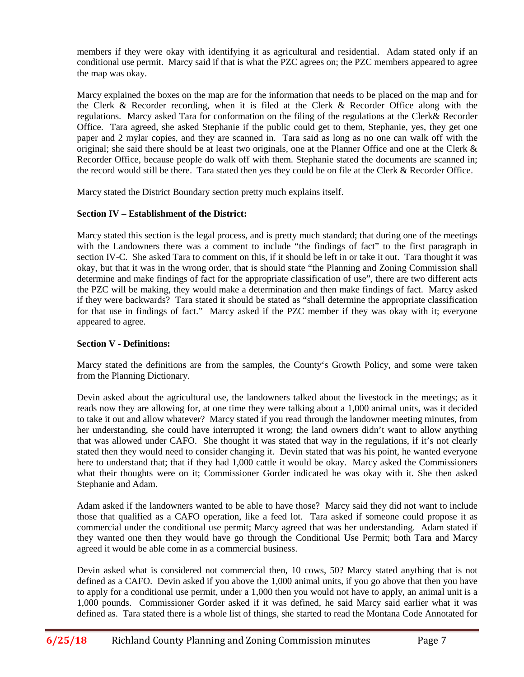members if they were okay with identifying it as agricultural and residential. Adam stated only if an conditional use permit. Marcy said if that is what the PZC agrees on; the PZC members appeared to agree the map was okay.

Marcy explained the boxes on the map are for the information that needs to be placed on the map and for the Clerk & Recorder recording, when it is filed at the Clerk & Recorder Office along with the regulations. Marcy asked Tara for conformation on the filing of the regulations at the Clerk& Recorder Office. Tara agreed, she asked Stephanie if the public could get to them, Stephanie, yes, they get one paper and 2 mylar copies, and they are scanned in. Tara said as long as no one can walk off with the original; she said there should be at least two originals, one at the Planner Office and one at the Clerk  $\&$ Recorder Office, because people do walk off with them. Stephanie stated the documents are scanned in; the record would still be there. Tara stated then yes they could be on file at the Clerk & Recorder Office.

Marcy stated the District Boundary section pretty much explains itself.

## **Section IV – Establishment of the District:**

Marcy stated this section is the legal process, and is pretty much standard; that during one of the meetings with the Landowners there was a comment to include "the findings of fact" to the first paragraph in section IV-C. She asked Tara to comment on this, if it should be left in or take it out. Tara thought it was okay, but that it was in the wrong order, that is should state "the Planning and Zoning Commission shall determine and make findings of fact for the appropriate classification of use", there are two different acts the PZC will be making, they would make a determination and then make findings of fact. Marcy asked if they were backwards? Tara stated it should be stated as "shall determine the appropriate classification for that use in findings of fact." Marcy asked if the PZC member if they was okay with it; everyone appeared to agree.

# **Section V - Definitions:**

Marcy stated the definitions are from the samples, the County's Growth Policy, and some were taken from the Planning Dictionary.

Devin asked about the agricultural use, the landowners talked about the livestock in the meetings; as it reads now they are allowing for, at one time they were talking about a 1,000 animal units, was it decided to take it out and allow whatever? Marcy stated if you read through the landowner meeting minutes, from her understanding, she could have interrupted it wrong; the land owners didn't want to allow anything that was allowed under CAFO. She thought it was stated that way in the regulations, if it's not clearly stated then they would need to consider changing it. Devin stated that was his point, he wanted everyone here to understand that; that if they had 1,000 cattle it would be okay. Marcy asked the Commissioners what their thoughts were on it; Commissioner Gorder indicated he was okay with it. She then asked Stephanie and Adam.

Adam asked if the landowners wanted to be able to have those? Marcy said they did not want to include those that qualified as a CAFO operation, like a feed lot. Tara asked if someone could propose it as commercial under the conditional use permit; Marcy agreed that was her understanding. Adam stated if they wanted one then they would have go through the Conditional Use Permit; both Tara and Marcy agreed it would be able come in as a commercial business.

Devin asked what is considered not commercial then, 10 cows, 50? Marcy stated anything that is not defined as a CAFO. Devin asked if you above the 1,000 animal units, if you go above that then you have to apply for a conditional use permit, under a 1,000 then you would not have to apply, an animal unit is a 1,000 pounds. Commissioner Gorder asked if it was defined, he said Marcy said earlier what it was defined as. Tara stated there is a whole list of things, she started to read the Montana Code Annotated for